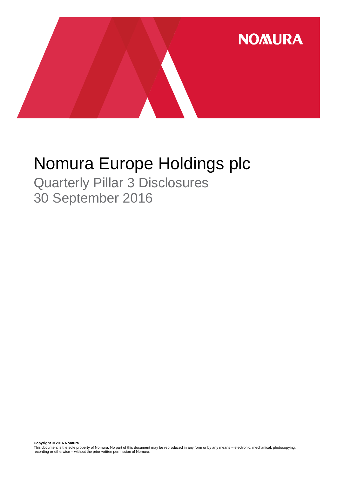

# Nomura Europe Holdings plc

Quarterly Pillar 3 Disclosures 30 September 2016

**Copyright © 2016 Nomura**<br>This document is the sole property of Nomura. No part of this document may be reproduced in any form or by any means – electronic, mechanical, photocopying,<br>recording or otherwise – without the pr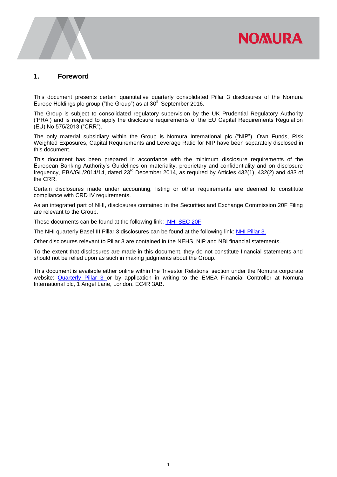# **NOMURA**

### **1. Foreword**

This document presents certain quantitative quarterly consolidated Pillar 3 disclosures of the Nomura Europe Holdings plc group ("the Group") as at 30<sup>th</sup> September 2016.

The Group is subject to consolidated regulatory supervision by the UK Prudential Regulatory Authority ('PRA') and is required to apply the disclosure requirements of the EU Capital Requirements Regulation (EU) No 575/2013 ("CRR").

The only material subsidiary within the Group is Nomura International plc ("NIP"). Own Funds, Risk Weighted Exposures, Capital Requirements and Leverage Ratio for NIP have been separately disclosed in this document.

This document has been prepared in accordance with the minimum disclosure requirements of the European Banking Authority's Guidelines on materiality, proprietary and confidentiality and on disclosure frequency, EBA/GL/2014/14, dated 23rd December 2014, as required by Articles 432(1), 432(2) and 433 of the CRR.

Certain disclosures made under accounting, listing or other requirements are deemed to constitute compliance with CRD IV requirements.

As an integrated part of NHI, disclosures contained in the Securities and Exchange Commission 20F Filing are relevant to the Group.

These documents can be found at the following link: [NHI SEC 20F](http://www.nomuraholdings.com/investor/library/sec/index.html)

The NHI quarterly Basel III Pillar 3 disclosures can be found at the following link: [NHI Pillar 3.](http://www.nomuraholdings.com/investor/summary/highlight/ratio.html)

Other disclosures relevant to Pillar 3 are contained in the NEHS, NIP and NBI financial statements.

To the extent that disclosures are made in this document, they do not constitute financial statements and should not be relied upon as such in making judgments about the Group.

This document is available either online within the 'Investor Relations' section under the Nomura corporate website: [Quarterly Pillar 3](https://www.nomuranow.com/portal/site/nnextranet/en/regulatory-disclosures/) or by application in writing to the EMEA Financial Controller at Nomura International plc, 1 Angel Lane, London, EC4R 3AB.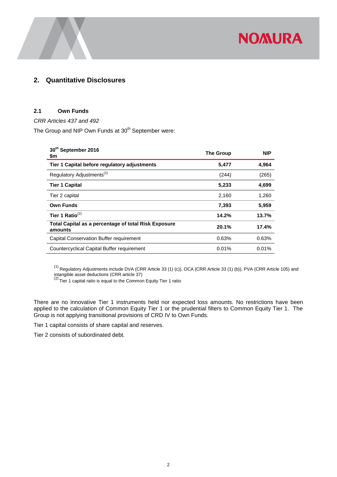

# **2. Quantitative Disclosures**

#### **2.1 Own Funds**

*CRR Articles 437 and 492* 

The Group and NIP Own Funds at 30<sup>th</sup> September were:

| 30th September 2016<br>\$m                                      | <b>The Group</b> | <b>NIP</b> |
|-----------------------------------------------------------------|------------------|------------|
| Tier 1 Capital before regulatory adjustments                    | 5,477            | 4,964      |
| Regulatory Adjustments <sup>(1)</sup>                           | (244)            | (265)      |
| <b>Tier 1 Capital</b>                                           | 5,233            | 4,699      |
| Tier 2 capital                                                  | 2,160            | 1,260      |
| <b>Own Funds</b>                                                | 7,393            | 5,959      |
| Tier 1 Ratio $^{(2)}$                                           | 14.2%            | 13.7%      |
| Total Capital as a percentage of total Risk Exposure<br>amounts | 20.1%            | 17.4%      |
| Capital Conservation Buffer requirement                         | 0.63%            | 0.63%      |
| Countercyclical Capital Buffer requirement                      | 0.01%            | 0.01%      |

 $^{(1)}$  Regulatory Adjustments include DVA (CRR Article 33 (1) (c)), OCA (CRR Article 33 (1) (b)), PVA (CRR Article 105) and

intangible asset deductions (CRR article 37)<br><sup>(2)</sup> Tier 1 capital ratio is equal to the Common Equity Tier 1 ratio

There are no innovative Tier 1 instruments held nor expected loss amounts. No restrictions have been applied to the calculation of Common Equity Tier 1 or the prudential filters to Common Equity Tier 1. The Group is not applying transitional provisions of CRD IV to Own Funds.

Tier 1 capital consists of share capital and reserves.

Tier 2 consists of subordinated debt.